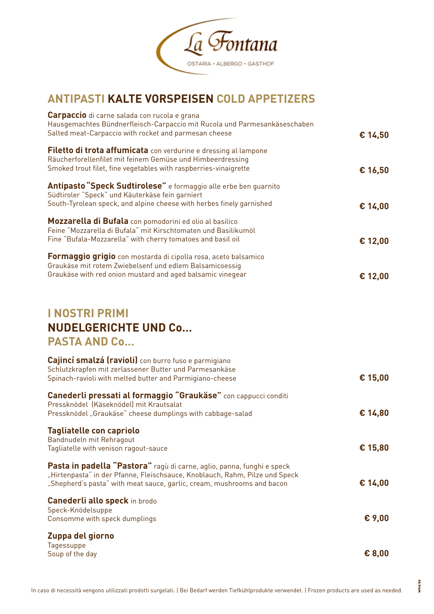

## **ANTIPASTI KALTE VORSPEISEN COLD APPETIZERS**

| <b>Carpaccio</b> di carne salada con rucola e grana<br>Hausgemachtes Bündnerfleisch-Carpaccio mit Rucola und Parmesankäseschaben |         |
|----------------------------------------------------------------------------------------------------------------------------------|---------|
| Salted meat-Carpaccio with rocket and parmesan cheese                                                                            | € 14,50 |
| Filetto di trota affumicata con verdurine e dressing al lampone                                                                  |         |
| Räucherforellenfilet mit feinem Gemüse und Himbeerdressing                                                                       |         |
| Smoked trout filet, fine vegetables with raspberries-vinaigrette                                                                 | € 16,50 |
| Antipasto "Speck Sudtirolese" e formaggio alle erbe ben guarnito                                                                 |         |
| Südtiroler "Speck" und Käuterkäse fein garniert<br>South-Tyrolean speck, and alpine cheese with herbes finely garnished          | € 14,00 |
|                                                                                                                                  |         |
| Mozzarella di Bufala con pomodorini ed olio al basilico                                                                          |         |
| Feine "Mozzarella di Bufala" mit Kirschtomaten und Basilikumöl                                                                   |         |
| Fine "Bufala-Mozzarella" with cherry tomatoes and basil oil                                                                      | € 12,00 |
| Formaggio grigio con mostarda di cipolla rosa, aceto balsamico                                                                   |         |
| Graukäse mit rotem Zwiebelsenf und edlem Balsamicoessig                                                                          |         |
| Graukäse with red onion mustard and aged balsamic vinegear                                                                       | € 12,00 |
|                                                                                                                                  |         |
| <b>I NOSTRI PRIMI</b>                                                                                                            |         |
|                                                                                                                                  |         |
| <b>NUDELGERICHTE UND Co</b>                                                                                                      |         |
| <b>PASTA AND Co</b>                                                                                                              |         |
| Cajincí smalzá (ravioli) con burro fuso e parmigiano                                                                             |         |
| Schlutzkrapfen mit zerlassener Butter und Parmesankäse                                                                           |         |

Spinach-ravioli with melted butter and Parmigiano-cheese **€ 15,00 Canederli pressati al formaggio "Graukäse"** con cappucci conditi Pressknödel (Käseknödel) mit Krautsalat Pressknödel "Graukäse" cheese dumplings with cabbage-salad **€ 14,80 Tagliatelle con capriolo** Bandnudeln mit Rehragout Tagliatelle with venison ragout-sauce **€ 15,80 Pasta in padella "Pastora"** ragù di carne, aglio, panna, funghi e speck "Hirtenpasta" in der Pfanne, Fleischsauce, Knoblauch, Rahm, Pilze und Speck "Shepherd's pasta" with meat sauce, garlic, cream, mushrooms and bacon **€ 14,00 Canederli allo speck** in brodo Speck-Knödelsuppe Consomme with speck dumplings **€ 9,00 Zuppa del giorno**  Tagessuppe Soup of the day **€ 8,00**

vinx.bz